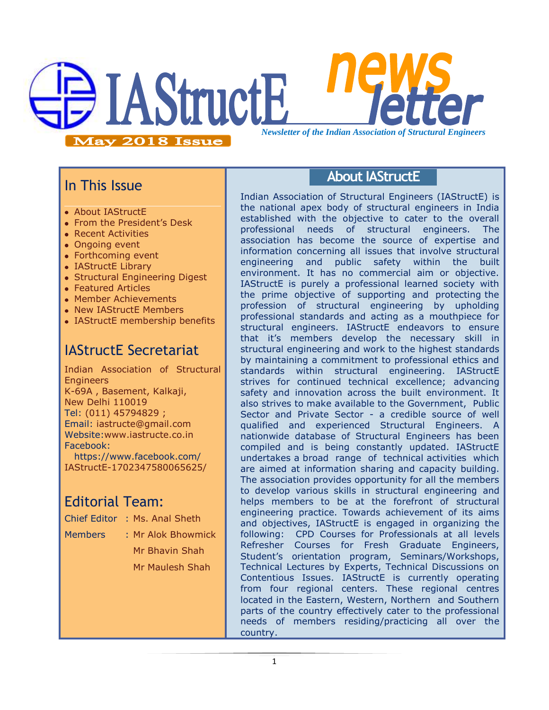

### In This Issue

- About IAStructE
- From the President's Desk
- Recent Activities
- Ongoing event
- Forthcoming event
- IAStructE Library
- Structural Engineering Digest
- Featured Articles
- Member Achievements
- New IAStructE Members
- IAStructE membership benefits

## IAStructE Secretariat

Indian Association of Structural **Engineers** K-69A , Basement, Kalkaji, New Delhi 110019 Tel: (011) 45794829 ; Email: iastructe@gmail.com Website[:www.iastructe.co.in](http://www.iastructe.co.in/) Facebook: [https://www.facebook.com/](https://www.facebook.com/%20IAStructE-1702347580065625/)  [IAStructE-1702347580065625/](https://www.facebook.com/%20IAStructE-1702347580065625/)

# Editorial Team:

- Chief Editor : Ms. Anal Sheth
- 

Members : Mr Alok Bhowmick Mr Bhavin Shah Mr Maulesh Shah

### **About IAStructE**

Indian Association of Structural Engineers (IAStructE) is the national apex body of structural engineers in India established with the objective to cater to the overall professional needs of structural engineers. The association has become the source of expertise and information concerning all issues that involve structural engineering and public safety within the built environment. It has no commercial aim or objective. IAStructE is purely a professional learned society with the prime objective of supporting and protecting the profession of structural engineering by upholding professional standards and acting as a mouthpiece for structural engineers. IAStructE endeavors to ensure that it"s members develop the necessary skill in structural engineering and work to the highest standards by maintaining a commitment to professional ethics and standards within structural engineering. IAStructE strives for continued technical excellence; advancing safety and innovation across the built environment. It also strives to make available to the Government, Public Sector and Private Sector - a credible source of well qualified and experienced Structural Engineers. A nationwide database of Structural Engineers has been compiled and is being constantly updated. IAStructE undertakes a broad range of technical activities which are aimed at information sharing and capacity building. The association provides opportunity for all the members to develop various skills in structural engineering and helps members to be at the forefront of structural engineering practice. Towards achievement of its aims and objectives, IAStructE is engaged in organizing the following: CPD Courses for Professionals at all levels Refresher Courses for Fresh Graduate Engineers, Student"s orientation program, Seminars/Workshops, Technical Lectures by Experts, Technical Discussions on Contentious Issues. IAStructE is currently operating from four regional centers. These regional centres located in the Eastern, Western, Northern and Southern parts of the country effectively cater to the professional needs of members residing/practicing all over the country.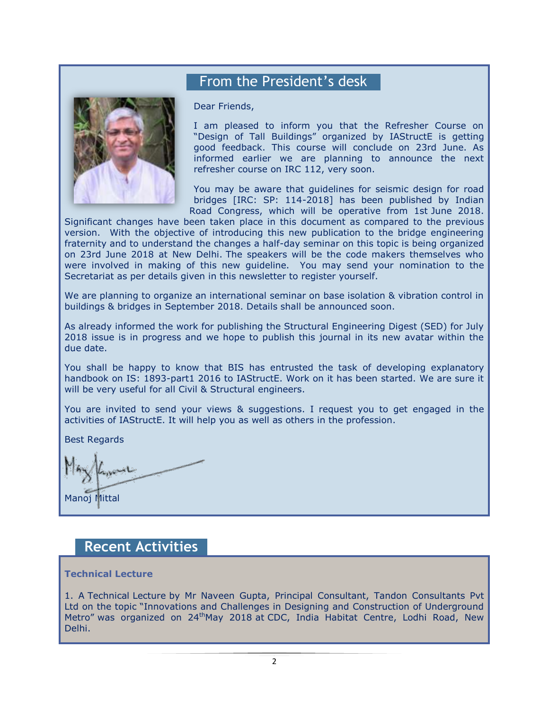### From the President's desk



#### Dear Friends,

I am pleased to inform you that the Refresher Course on "Design of Tall Buildings" organized by IAStructE is getting good feedback. This course will conclude on 23rd June. As informed earlier we are planning to announce the next refresher course on IRC 112, very soon.

You may be aware that guidelines for seismic design for road bridges [IRC: SP: 114-2018] has been published by Indian Road Congress, which will be operative from 1st June 2018.

Significant changes have been taken place in this document as compared to the previous version. With the objective of introducing this new publication to the bridge engineering fraternity and to understand the changes a half-day seminar on this topic is being organized on 23rd June 2018 at New Delhi. The speakers will be the code makers themselves who were involved in making of this new guideline. You may send your nomination to the Secretariat as per details given in this newsletter to register yourself.

We are planning to organize an international seminar on base isolation & vibration control in buildings & bridges in September 2018. Details shall be announced soon.

As already informed the work for publishing the Structural Engineering Digest (SED) for July 2018 issue is in progress and we hope to publish this journal in its new avatar within the due date.

You shall be happy to know that BIS has entrusted the task of developing explanatory handbook on IS: 1893-part1 2016 to IAStructE. Work on it has been started. We are sure it will be very useful for all Civil & Structural engineers.

You are invited to send your views & suggestions. I request you to get engaged in the activities of IAStructE. It will help you as well as others in the profession.

Best Regards

Manoj Mittal

#### **Recent Activities**

#### **Technical Lecture**

1. A Technical Lecture by Mr Naveen Gupta, Principal Consultant, Tandon Consultants Pvt Ltd on the topic "Innovations and Challenges in Designing and Construction of Underground Metro" was organized on 24<sup>th</sup>May 2018 at CDC, India Habitat Centre, Lodhi Road, New Delhi.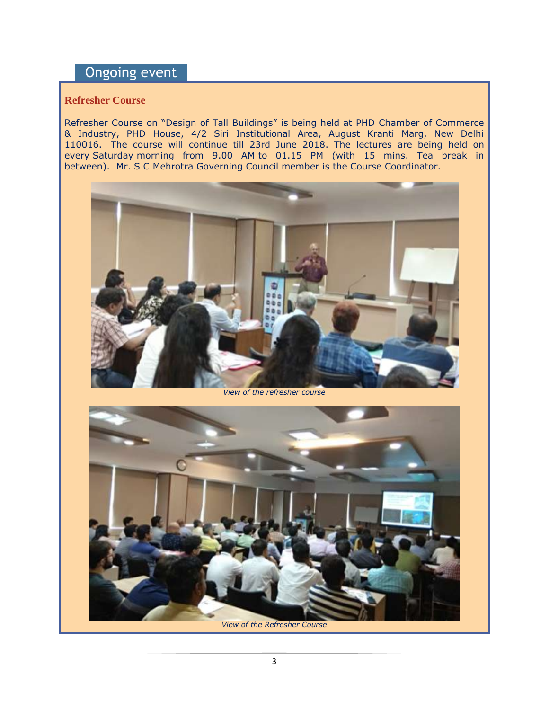## Ongoing event

#### **Refresher Course**

Refresher Course on "Design of Tall Buildings" is being held at PHD Chamber of Commerce & Industry, PHD House, 4/2 Siri Institutional Area, August Kranti Marg, New Delhi 110016. The course will continue till 23rd June 2018. The lectures are being held on every Saturday morning from 9.00 AM to 01.15 PM (with 15 mins. Tea break in between). Mr. S C Mehrotra Governing Council member is the Course Coordinator.



*View of the refresher course* 

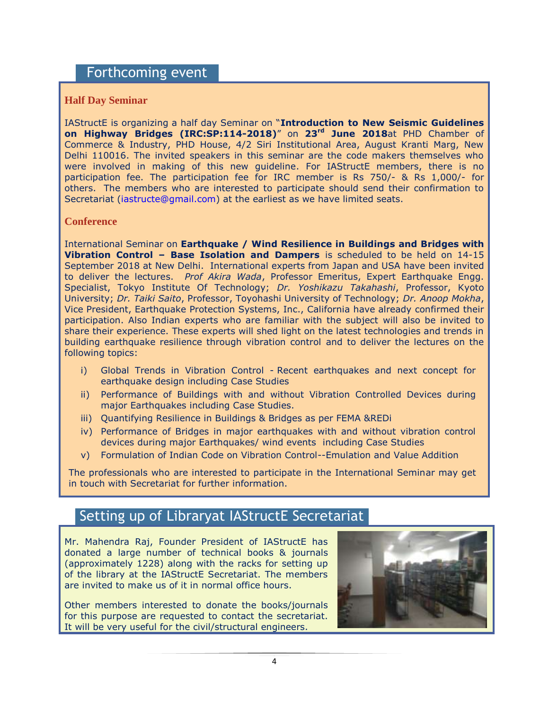#### Forthcoming event

#### **Half Day Seminar**

IAStructE is organizing a half day Seminar on "**Introduction to New Seismic Guidelines on Highway Bridges (IRC:SP:114-2018)**" on **23rd June 2018**at PHD Chamber of Commerce & Industry, PHD House, 4/2 Siri Institutional Area, August Kranti Marg, New Delhi 110016. The invited speakers in this seminar are the code makers themselves who were involved in making of this new guideline. For IAStructE members, there is no participation fee. The participation fee for IRC member is Rs 750/- & Rs 1,000/- for others. The members who are interested to participate should send their confirmation to Secretariat [\(iastructe@gmail.com\)](mailto:iastructe@gmail.com) at the earliest as we have limited seats.

#### **Conference**

International Seminar on **Earthquake / Wind Resilience in Buildings and Bridges with Vibration Control – Base Isolation and Dampers** is scheduled to be held on 14-15 September 2018 at New Delhi. International experts from Japan and USA have been invited to deliver the lectures. *Prof Akira Wada*, Professor Emeritus, Expert Earthquake Engg. Specialist, Tokyo Institute Of Technology; *Dr. Yoshikazu Takahashi*, Professor, Kyoto University; *Dr. Taiki Saito*, Professor, Toyohashi University of Technology; *Dr. Anoop Mokha*, Vice President, Earthquake Protection Systems, Inc., California have already confirmed their participation. Also Indian experts who are familiar with the subject will also be invited to share their experience. These experts will shed light on the latest technologies and trends in building earthquake resilience through vibration control and to deliver the lectures on the following topics:

- i) Global Trends in Vibration Control Recent earthquakes and next concept for earthquake design including Case Studies
- ii) Performance of Buildings with and without Vibration Controlled Devices during major Earthquakes including Case Studies.
- iii) Quantifying Resilience in Buildings & Bridges as per FEMA &REDi
- iv) Performance of Bridges in major earthquakes with and without vibration control devices during major Earthquakes/ wind events including Case Studies
- v) Formulation of Indian Code on Vibration Control--Emulation and Value Addition

The professionals who are interested to participate in the International Seminar may get in touch with Secretariat for further information.

### Setting up of Libraryat IAStructE Secretariat

Mr. Mahendra Raj, Founder President of IAStructE has donated a large number of technical books & journals (approximately 1228) along with the racks for setting up of the library at the IAStructE Secretariat. The members are invited to make us of it in normal office hours.

Other members interested to donate the books/journals for this purpose are requested to contact the secretariat. It will be very useful for the civil/structural engineers.

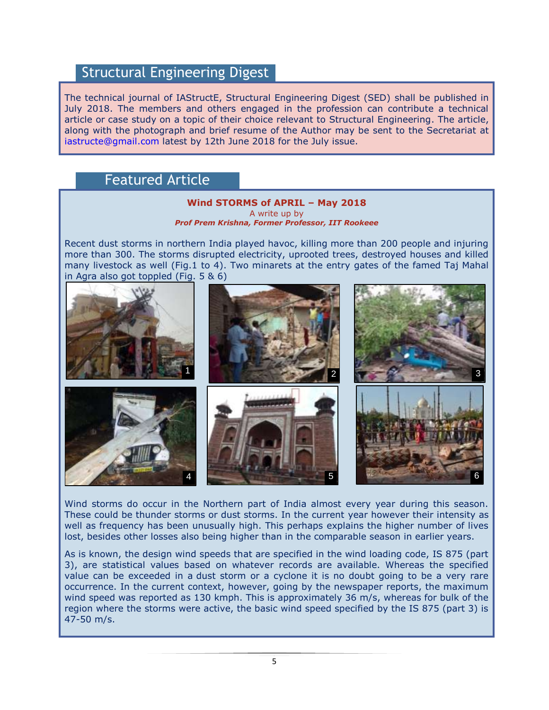### Structural Engineering Digest

The technical journal of IAStructE, Structural Engineering Digest (SED) shall be published in July 2018. The members and others engaged in the profession can contribute a technical article or case study on a topic of their choice relevant to Structural Engineering. The article, along with the photograph and brief resume of the Author may be sent to the Secretariat at [iastructe@gmail.com](mailto:iastructe@gmail.com) latest by 12th June 2018 for the July issue.

### Featured Article



Wind storms do occur in the Northern part of India almost every year during this season. These could be thunder storms or dust storms. In the current year however their intensity as well as frequency has been unusually high. This perhaps explains the higher number of lives lost, besides other losses also being higher than in the comparable season in earlier years.

As is known, the design wind speeds that are specified in the wind loading code, IS 875 (part 3), are statistical values based on whatever records are available. Whereas the specified value can be exceeded in a dust storm or a cyclone it is no doubt going to be a very rare occurrence. In the current context, however, going by the newspaper reports, the maximum wind speed was reported as 130 kmph. This is approximately 36 m/s, whereas for bulk of the region where the storms were active, the basic wind speed specified by the IS 875 (part 3) is 47-50 m/s.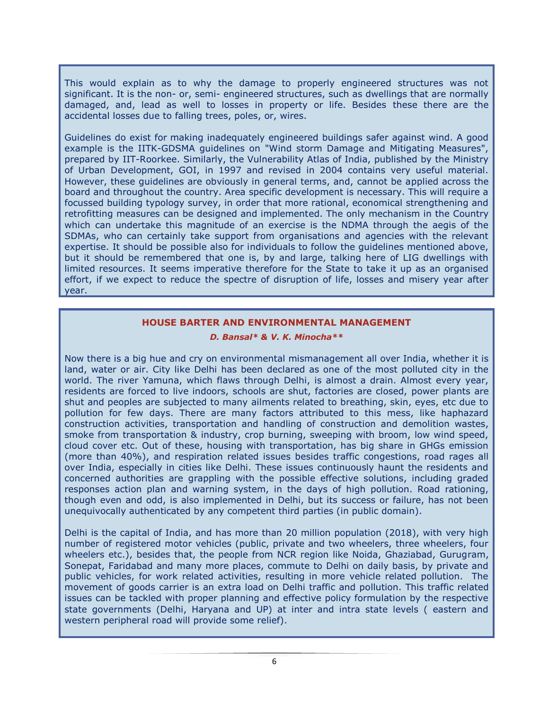This would explain as to why the damage to properly engineered structures was not significant. It is the non- or, semi- engineered structures, such as dwellings that are normally damaged, and, lead as well to losses in property or life. Besides these there are the accidental losses due to falling trees, poles, or, wires.

Guidelines do exist for making inadequately engineered buildings safer against wind. A good example is the IITK-GDSMA guidelines on "Wind storm Damage and Mitigating Measures", prepared by IIT-Roorkee. Similarly, the Vulnerability Atlas of India, published by the Ministry of Urban Development, GOI, in 1997 and revised in 2004 contains very useful material. However, these guidelines are obviously in general terms, and, cannot be applied across the board and throughout the country. Area specific development is necessary. This will require a focussed building typology survey, in order that more rational, economical strengthening and retrofitting measures can be designed and implemented. The only mechanism in the Country which can undertake this magnitude of an exercise is the NDMA through the aegis of the SDMAs, who can certainly take support from organisations and agencies with the relevant expertise. It should be possible also for individuals to follow the guidelines mentioned above, but it should be remembered that one is, by and large, talking here of LIG dwellings with limited resources. It seems imperative therefore for the State to take it up as an organised effort, if we expect to reduce the spectre of disruption of life, losses and misery year after year.

#### **HOUSE BARTER AND ENVIRONMENTAL MANAGEMENT**

#### *D. Bansal\* & V. K. Minocha\*\**

Now there is a big hue and cry on environmental mismanagement all over India, whether it is land, water or air. City like Delhi has been declared as one of the most polluted city in the world. The river Yamuna, which flaws through Delhi, is almost a drain. Almost every year, residents are forced to live indoors, schools are shut, factories are closed, power plants are shut and peoples are subjected to many ailments related to breathing, skin, eyes, etc due to pollution for few days. There are many factors attributed to this mess, like haphazard construction activities, transportation and handling of construction and demolition wastes, smoke from transportation & industry, crop burning, sweeping with broom, low wind speed, cloud cover etc. Out of these, housing with transportation, has big share in GHGs emission (more than 40%), and respiration related issues besides traffic congestions, road rages all over India, especially in cities like Delhi. These issues continuously haunt the residents and concerned authorities are grappling with the possible effective solutions, including graded responses action plan and warning system, in the days of high pollution. Road rationing, though even and odd, is also implemented in Delhi, but its success or failure, has not been unequivocally authenticated by any competent third parties (in public domain).

Delhi is the capital of India, and has more than 20 million population (2018), with very high number of registered motor vehicles (public, private and two wheelers, three wheelers, four wheelers etc.), besides that, the people from NCR region like Noida, Ghaziabad, Gurugram, Sonepat, Faridabad and many more places, commute to Delhi on daily basis, by private and public vehicles, for work related activities, resulting in more vehicle related pollution. The movement of goods carrier is an extra load on Delhi traffic and pollution. This traffic related issues can be tackled with proper planning and effective policy formulation by the respective state governments (Delhi, Haryana and UP) at inter and intra state levels ( eastern and western peripheral road will provide some relief).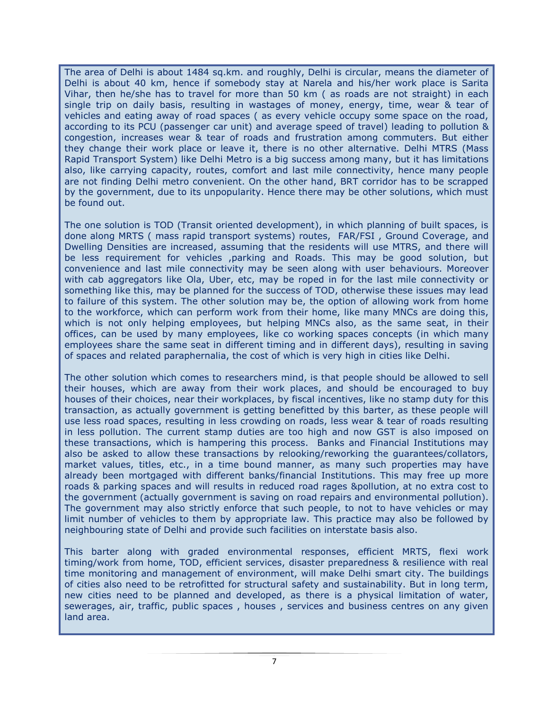The area of Delhi is about 1484 sq.km. and roughly, Delhi is circular, means the diameter of Delhi is about 40 km, hence if somebody stay at Narela and his/her work place is Sarita Vihar, then he/she has to travel for more than 50 km ( as roads are not straight) in each single trip on daily basis, resulting in wastages of money, energy, time, wear & tear of vehicles and eating away of road spaces ( as every vehicle occupy some space on the road, according to its PCU (passenger car unit) and average speed of travel) leading to pollution & congestion, increases wear & tear of roads and frustration among commuters. But either they change their work place or leave it, there is no other alternative. Delhi MTRS (Mass Rapid Transport System) like Delhi Metro is a big success among many, but it has limitations also, like carrying capacity, routes, comfort and last mile connectivity, hence many people are not finding Delhi metro convenient. On the other hand, BRT corridor has to be scrapped by the government, due to its unpopularity. Hence there may be other solutions, which must be found out.

The one solution is TOD (Transit oriented development), in which planning of built spaces, is done along MRTS ( mass rapid transport systems) routes, FAR/FSI , Ground Coverage, and Dwelling Densities are increased, assuming that the residents will use MTRS, and there will be less requirement for vehicles ,parking and Roads. This may be good solution, but convenience and last mile connectivity may be seen along with user behaviours. Moreover with cab aggregators like Ola, Uber, etc, may be roped in for the last mile connectivity or something like this, may be planned for the success of TOD, otherwise these issues may lead to failure of this system. The other solution may be, the option of allowing work from home to the workforce, which can perform work from their home, like many MNCs are doing this, which is not only helping employees, but helping MNCs also, as the same seat, in their offices, can be used by many employees, like co working spaces concepts (in which many employees share the same seat in different timing and in different days), resulting in saving of spaces and related paraphernalia, the cost of which is very high in cities like Delhi.

The other solution which comes to researchers mind, is that people should be allowed to sell their houses, which are away from their work places, and should be encouraged to buy houses of their choices, near their workplaces, by fiscal incentives, like no stamp duty for this transaction, as actually government is getting benefitted by this barter, as these people will use less road spaces, resulting in less crowding on roads, less wear & tear of roads resulting in less pollution. The current stamp duties are too high and now GST is also imposed on these transactions, which is hampering this process. Banks and Financial Institutions may also be asked to allow these transactions by relooking/reworking the guarantees/collators, market values, titles, etc., in a time bound manner, as many such properties may have already been mortgaged with different banks/financial Institutions. This may free up more roads & parking spaces and will results in reduced road rages &pollution, at no extra cost to the government (actually government is saving on road repairs and environmental pollution). The government may also strictly enforce that such people, to not to have vehicles or may limit number of vehicles to them by appropriate law. This practice may also be followed by neighbouring state of Delhi and provide such facilities on interstate basis also.

This barter along with graded environmental responses, efficient MRTS, flexi work timing/work from home, TOD, efficient services, disaster preparedness & resilience with real time monitoring and management of environment, will make Delhi smart city. The buildings of cities also need to be retrofitted for structural safety and sustainability. But in long term, new cities need to be planned and developed, as there is a physical limitation of water, sewerages, air, traffic, public spaces , houses , services and business centres on any given land area.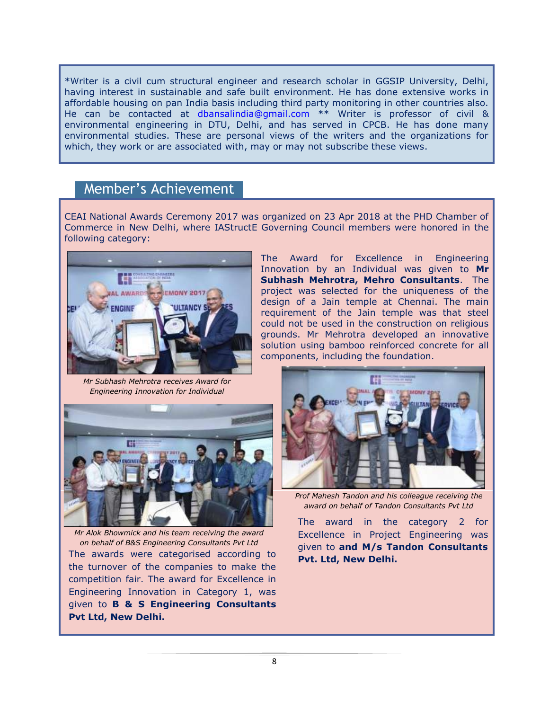\*Writer is a civil cum structural engineer and research scholar in GGSIP University, Delhi, having interest in sustainable and safe built environment. He has done extensive works in affordable housing on pan India basis including third party monitoring in other countries also. He can be contacted at [dbansalindia@gmail.com](mailto:dbansalindia@gmail.com) \*\* Writer is professor of civil & environmental engineering in DTU, Delhi, and has served in CPCB. He has done many environmental studies. These are personal views of the writers and the organizations for which, they work or are associated with, may or may not subscribe these views.

#### Member's Achievement

CEAI National Awards Ceremony 2017 was organized on 23 Apr 2018 at the PHD Chamber of Commerce in New Delhi, where IAStructE Governing Council members were honored in the following category:



The Award for Excellence in Engineering Innovation by an Individual was given to **Mr Subhash Mehrotra, Mehro Consultants**. The project was selected for the uniqueness of the design of a Jain temple at Chennai. The main requirement of the Jain temple was that steel could not be used in the construction on religious grounds. Mr Mehrotra developed an innovative solution using bamboo reinforced concrete for all components, including the foundation.

*Mr Subhash Mehrotra receives Award for Engineering Innovation for Individual*



*Mr Alok Bhowmick and his team receiving the award on behalf of B&S Engineering Consultants Pvt Ltd* The awards were categorised according to **Pvt. Ltd, New Delhi.** the turnover of the companies to make the competition fair. The award for Excellence in Engineering Innovation in Category 1, was given to **B & S Engineering Consultants Pvt Ltd, New Delhi.** 



*Prof Mahesh Tandon and his colleague receiving the award on behalf of Tandon Consultants Pvt Ltd*

The award in the category 2 for Excellence in Project Engineering was given to **and M/s Tandon Consultants**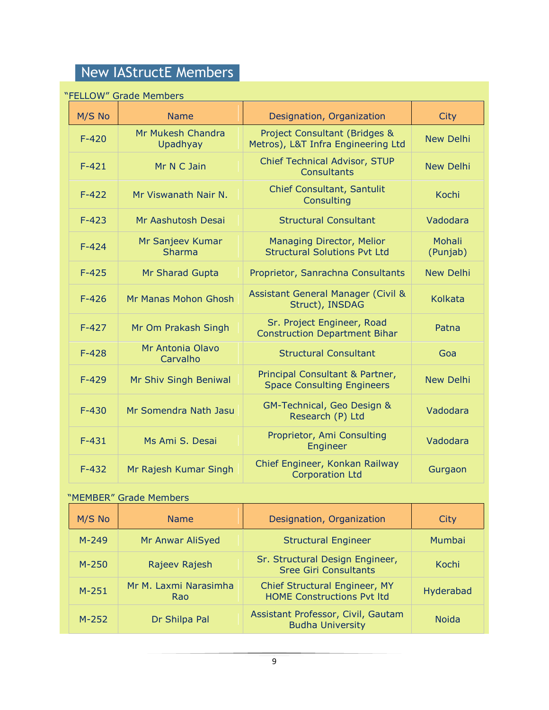# New IAStructE Members

#### "FELLOW" Grade Members

| <b>ORDO PROTIDUIS</b> |                                   |                                                                                |                           |  |
|-----------------------|-----------------------------------|--------------------------------------------------------------------------------|---------------------------|--|
| M/S No                | <b>Name</b>                       | Designation, Organization                                                      | <b>City</b>               |  |
| $F - 420$             | Mr Mukesh Chandra<br>Upadhyay     | <b>Project Consultant (Bridges &amp;</b><br>Metros), L&T Infra Engineering Ltd | <b>New Delhi</b>          |  |
| $F-421$               | Mr N C Jain                       | Chief Technical Advisor, STUP<br><b>Consultants</b>                            | <b>New Delhi</b>          |  |
| $F-422$               | Mr Viswanath Nair N.              | Chief Consultant, Santulit<br>Consulting                                       | <b>Kochi</b>              |  |
| $F-423$               | Mr Aashutosh Desai                | <b>Structural Consultant</b>                                                   | Vadodara                  |  |
| $F - 424$             | Mr Sanjeev Kumar<br><b>Sharma</b> | Managing Director, Melior<br><b>Structural Solutions Pvt Ltd</b>               | <b>Mohali</b><br>(Punjab) |  |
| $F-425$               | Mr Sharad Gupta                   | Proprietor, Sanrachna Consultants                                              | <b>New Delhi</b>          |  |
| $F-426$               | Mr Manas Mohon Ghosh              | <b>Assistant General Manager (Civil &amp;</b><br>Struct), INSDAG               | <b>Kolkata</b>            |  |
| $F-427$               | Mr Om Prakash Singh               | Sr. Project Engineer, Road<br><b>Construction Department Bihar</b>             | Patna                     |  |
| $F-428$               | Mr Antonia Olavo<br>Carvalho      | <b>Structural Consultant</b>                                                   | Goa                       |  |
| $F-429$               | Mr Shiv Singh Beniwal             | Principal Consultant & Partner,<br><b>Space Consulting Engineers</b>           | <b>New Delhi</b>          |  |
| $F-430$               | Mr Somendra Nath Jasu             | GM-Technical, Geo Design &<br>Research (P) Ltd                                 | Vadodara                  |  |
| $F-431$               | Ms Ami S. Desai                   | Proprietor, Ami Consulting<br>Engineer                                         | Vadodara                  |  |
| $F-432$               | Mr Rajesh Kumar Singh             | Chief Engineer, Konkan Railway<br><b>Corporation Ltd</b>                       | Gurgaon                   |  |

#### "MEMBER" Grade Members

| M/S No    | <b>Name</b>                  | Designation, Organization                                          | City         |
|-----------|------------------------------|--------------------------------------------------------------------|--------------|
| $M - 249$ | Mr Anwar AliSyed             | <b>Structural Engineer</b>                                         | Mumbai       |
| $M - 250$ | Rajeev Rajesh                | Sr. Structural Design Engineer,<br><b>Sree Giri Consultants</b>    | Kochi        |
| $M-251$   | Mr M. Laxmi Narasimha<br>Rao | Chief Structural Engineer, MY<br><b>HOME Constructions Pvt Itd</b> | Hyderabad    |
| $M-252$   | Dr Shilpa Pal                | Assistant Professor, Civil, Gautam<br><b>Budha University</b>      | <b>Noida</b> |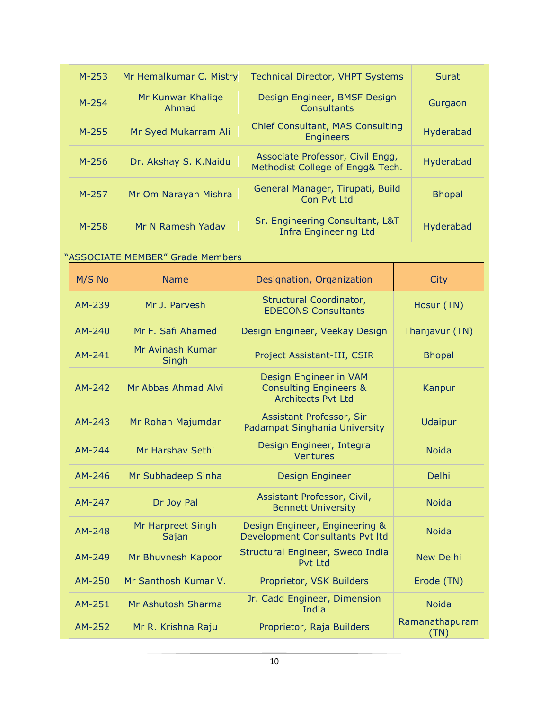| $M-253$   | Mr Hemalkumar C. Mistry    | <b>Technical Director, VHPT Systems</b>                              | Surat         |
|-----------|----------------------------|----------------------------------------------------------------------|---------------|
| $M - 254$ | Mr Kunwar Khalige<br>Ahmad | Design Engineer, BMSF Design<br><b>Consultants</b>                   | Gurgaon       |
| $M-255$   | Mr Syed Mukarram Ali       | <b>Chief Consultant, MAS Consulting</b><br><b>Engineers</b>          | Hyderabad     |
| $M - 256$ | Dr. Akshay S. K.Naidu      | Associate Professor, Civil Engg,<br>Methodist College of Engg& Tech. | Hyderabad     |
| $M-257$   | Mr Om Narayan Mishra       | General Manager, Tirupati, Build<br>Con Pvt Ltd                      | <b>Bhopal</b> |
| $M-258$   | Mr N Ramesh Yadav          | Sr. Engineering Consultant, L&T<br><b>Infra Engineering Ltd</b>      | Hyderabad     |

#### "ASSOCIATE MEMBER" Grade Members

| M/S No   | <b>Name</b>                | Designation, Organization                                                                | <b>City</b>            |
|----------|----------------------------|------------------------------------------------------------------------------------------|------------------------|
| AM-239   | Mr J. Parvesh              | Structural Coordinator,<br><b>EDECONS Consultants</b>                                    | Hosur (TN)             |
| $AM-240$ | Mr F. Safi Ahamed          | Design Engineer, Veekay Design                                                           | Thanjavur (TN)         |
| AM-241   | Mr Avinash Kumar<br>Singh  | Project Assistant-III, CSIR                                                              | <b>Bhopal</b>          |
| AM-242   | Mr Abbas Ahmad Alvi        | Design Engineer in VAM<br><b>Consulting Engineers &amp;</b><br><b>Architects Pvt Ltd</b> | Kanpur                 |
| AM-243   | Mr Rohan Majumdar          | Assistant Professor, Sir<br>Padampat Singhania University                                | Udaipur                |
| AM-244   | Mr Harshay Sethi           | Design Engineer, Integra<br><b>Ventures</b>                                              | <b>Noida</b>           |
| AM-246   | Mr Subhadeep Sinha         | Design Engineer                                                                          | Delhi                  |
| AM-247   | Dr Joy Pal                 | Assistant Professor, Civil,<br><b>Bennett University</b>                                 | <b>Noida</b>           |
| AM-248   | Mr Harpreet Singh<br>Sajan | Design Engineer, Engineering &<br>Development Consultants Pvt Itd                        | <b>Noida</b>           |
| AM-249   | Mr Bhuvnesh Kapoor         | Structural Engineer, Sweco India<br><b>Pvt Ltd</b>                                       | <b>New Delhi</b>       |
| AM-250   | Mr Santhosh Kumar V.       | Proprietor, VSK Builders                                                                 | Erode (TN)             |
| AM-251   | Mr Ashutosh Sharma         | Jr. Cadd Engineer, Dimension<br>India                                                    | <b>Noida</b>           |
| AM-252   | Mr R. Krishna Raju         | Proprietor, Raja Builders                                                                | Ramanathapuram<br>(TN) |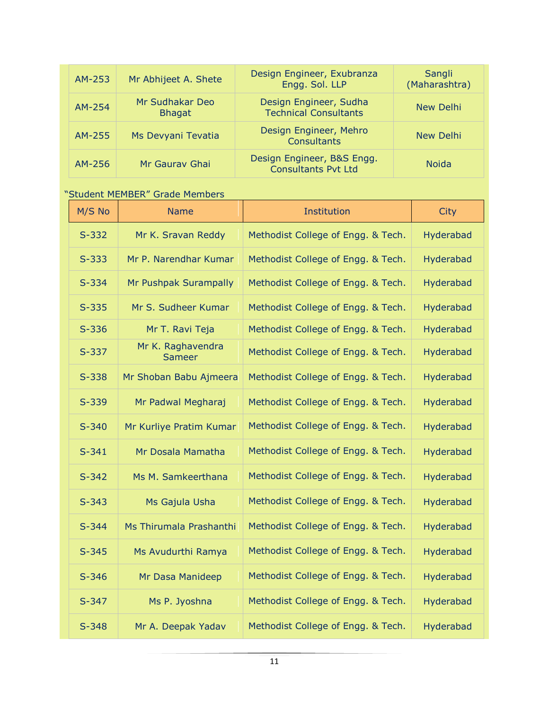| AM-253   | Mr Abhijeet A. Shete             | Design Engineer, Exubranza<br>Engg. Sol. LLP             | Sangli<br>(Maharashtra) |
|----------|----------------------------------|----------------------------------------------------------|-------------------------|
| $AM-254$ | Mr Sudhakar Deo<br><b>Bhagat</b> | Design Engineer, Sudha<br><b>Technical Consultants</b>   | New Delhi               |
| AM-255   | Ms Devyani Tevatia               | Design Engineer, Mehro<br><b>Consultants</b>             | New Delhi               |
| AM-256   | Mr Gaurav Ghai                   | Design Engineer, B&S Engg.<br><b>Consultants Pvt Ltd</b> | <b>Noida</b>            |

#### "Student MEMBER" Grade Members

| M/S No    | <b>Name</b>                        | Institution                        | City      |
|-----------|------------------------------------|------------------------------------|-----------|
| $S-332$   | Mr K. Sravan Reddy                 | Methodist College of Engg. & Tech. | Hyderabad |
| $S-333$   | Mr P. Narendhar Kumar              | Methodist College of Engg. & Tech. | Hyderabad |
| $S-334$   | Mr Pushpak Surampally              | Methodist College of Engg. & Tech. | Hyderabad |
| $S-335$   | Mr S. Sudheer Kumar                | Methodist College of Engg. & Tech. | Hyderabad |
| $S-336$   | Mr T. Ravi Teja                    | Methodist College of Engg. & Tech. | Hyderabad |
| $S-337$   | Mr K. Raghavendra<br><b>Sameer</b> | Methodist College of Engg. & Tech. | Hyderabad |
| $S-338$   | Mr Shoban Babu Ajmeera             | Methodist College of Engg. & Tech. | Hyderabad |
| $S-339$   | Mr Padwal Megharaj                 | Methodist College of Engg. & Tech. | Hyderabad |
| $S-340$   | Mr Kurliye Pratim Kumar            | Methodist College of Engg. & Tech. | Hyderabad |
| $S-341$   | Mr Dosala Mamatha                  | Methodist College of Engg. & Tech. | Hyderabad |
| $S-342$   | Ms M. Samkeerthana                 | Methodist College of Engg. & Tech. | Hyderabad |
| $S-343$   | Ms Gajula Usha                     | Methodist College of Engg. & Tech. | Hyderabad |
| $S-344$   | Ms Thirumala Prashanthi            | Methodist College of Engg. & Tech. | Hyderabad |
| $S-345$   | Ms Avudurthi Ramya                 | Methodist College of Engg. & Tech. | Hyderabad |
| $S - 346$ | Mr Dasa Manideep                   | Methodist College of Engg. & Tech. | Hyderabad |
| $S-347$   | Ms P. Jyoshna                      | Methodist College of Engg. & Tech. | Hyderabad |
| $S-348$   | Mr A. Deepak Yadav                 | Methodist College of Engg. & Tech. | Hyderabad |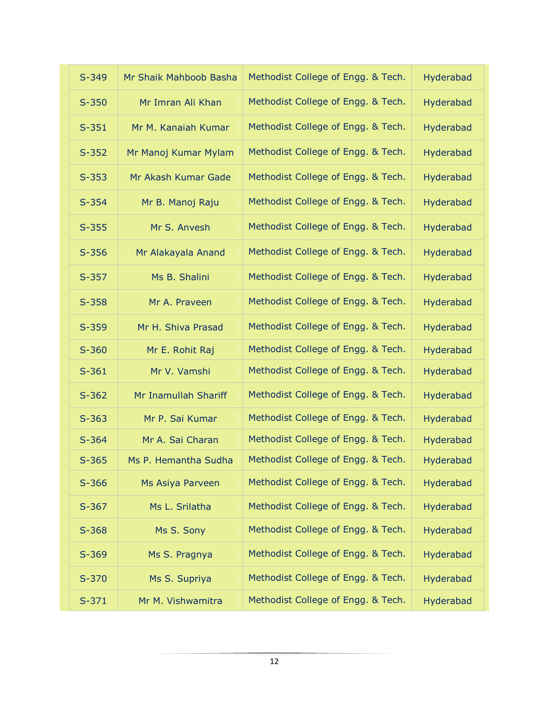| $S-349$ | Mr Shaik Mahboob Basha | Methodist College of Engg. & Tech. | Hyderabad |
|---------|------------------------|------------------------------------|-----------|
| $S-350$ | Mr Imran Ali Khan      | Methodist College of Engg. & Tech. | Hyderabad |
| $S-351$ | Mr M. Kanaiah Kumar    | Methodist College of Engg. & Tech. | Hyderabad |
| $S-352$ | Mr Manoj Kumar Mylam   | Methodist College of Engg. & Tech. | Hyderabad |
| $S-353$ | Mr Akash Kumar Gade    | Methodist College of Engg. & Tech. | Hyderabad |
| $S-354$ | Mr B. Manoj Raju       | Methodist College of Engg. & Tech. | Hyderabad |
| $S-355$ | Mr S. Anvesh           | Methodist College of Engg. & Tech. | Hyderabad |
| $S-356$ | Mr Alakayala Anand     | Methodist College of Engg. & Tech. | Hyderabad |
| $S-357$ | Ms B. Shalini          | Methodist College of Engg. & Tech. | Hyderabad |
| $S-358$ | Mr A. Praveen          | Methodist College of Engg. & Tech. | Hyderabad |
| $S-359$ | Mr H. Shiva Prasad     | Methodist College of Engg. & Tech. | Hyderabad |
| $S-360$ | Mr E. Rohit Raj        | Methodist College of Engg. & Tech. | Hyderabad |
| $S-361$ | Mr V. Vamshi           | Methodist College of Engg. & Tech. | Hyderabad |
| $S-362$ | Mr Inamullah Shariff   | Methodist College of Engg. & Tech. | Hyderabad |
| $S-363$ | Mr P. Sai Kumar        | Methodist College of Engg. & Tech. | Hyderabad |
| $S-364$ | Mr A. Sai Charan       | Methodist College of Engg. & Tech. | Hyderabad |
| $S-365$ | Ms P. Hemantha Sudha   | Methodist College of Engg. & Tech. | Hyderabad |
| $S-366$ | Ms Asiya Parveen       | Methodist College of Engg. & Tech. | Hyderabad |
| $S-367$ | Ms L. Srilatha         | Methodist College of Engg. & Tech. | Hyderabad |
| $S-368$ | Ms S. Sony             | Methodist College of Engg. & Tech. | Hyderabad |
| $S-369$ | Ms S. Pragnya          | Methodist College of Engg. & Tech. | Hyderabad |
| $S-370$ | Ms S. Supriya          | Methodist College of Engg. & Tech. | Hyderabad |
| $S-371$ | Mr M. Vishwamitra      | Methodist College of Engg. & Tech. | Hyderabad |